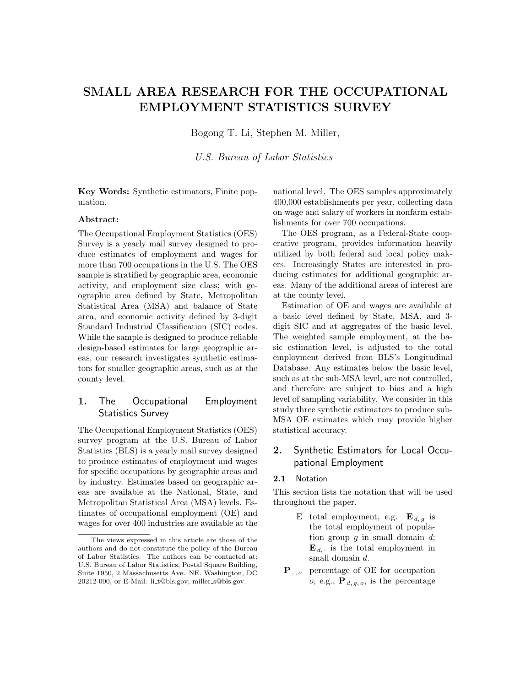# SMALL AREA RESEARCH FOR THE OCCUPATIONAL EMPLOYMENT STATISTICS SURVEY

Bogong T. Li, Stephen M. Miller,

U.S. Bureau of Labor Statistics

Key Words: Synthetic estimators, Finite population.

## Abstract:

The Occupational Employment Statistics (OES) Survey is a yearly mail survey designed to produce estimates of employment and wages for more than 700 occupations in the U.S. The OES sample is stratified by geographic area, economic activity, and employment size class; with geographic area defined by State, Metropolitan Statistical Area (MSA) and balance of State area, and economic activity defined by 3-digit Standard Industrial Classification (SIC) codes. While the sample is designed to produce reliable design-based estimates for large geographic areas, our research investigates synthetic estimators for smaller geographic areas, such as at the county level.

# 1. The Occupational Employment Statistics Survey

The Occupational Employment Statistics (OES) survey program at the U.S. Bureau of Labor Statistics (BLS) is a yearly mail survey designed to produce estimates of employment and wages for specific occupations by geographic areas and by industry. Estimates based on geographic areas are available at the National, State, and Metropolitan Statistical Area (MSA) levels. Estimates of occupational employment (OE) and wages for over 400 industries are available at the national level. The OES samples approximately 400,000 establishments per year, collecting data on wage and salary of workers in nonfarm establishments for over 700 occupations.

The OES program, as a Federal-State cooperative program, provides information heavily utilized by both federal and local policy makers. Increasingly States are interested in producing estimates for additional geographic areas. Many of the additional areas of interest are at the county level.

Estimation of OE and wages are available at a basic level defined by State, MSA, and 3 digit SIC and at aggregates of the basic level. The weighted sample employment, at the basic estimation level, is adjusted to the total employment derived from BLS's Longitudinal Database. Any estimates below the basic level, such as at the sub-MSA level, are not controlled, and therefore are subject to bias and a high level of sampling variability. We consider in this study three synthetic estimators to produce sub-MSA OE estimates which may provide higher statistical accuracy.

# 2. Synthetic Estimators for Local Occupational Employment

# 2.1 Notation

This section lists the notation that will be used throughout the paper.

- E total employment, e.g.  $\mathbf{E}_{d, g}$  is the total employment of population group  $q$  in small domain  $d$ ;  $\mathbf{E}_{d, \cdot}$  is the total employment in small domain d.
- $\mathbf{P}_{\dots o}$  percentage of OE for occupation o, e.g.,  $P_{d, g, o}$ , is the percentage

The views expressed in this article are those of the authors and do not constitute the policy of the Bureau of Labor Statistics. The authors can be contacted at: U.S. Bureau of Labor Statistics, Postal Square Building, Suite 1950, 2 Massachusetts Ave. NE. Washington, DC 20212-000, or E-Mail: li t@bls.gov; miller s@bls.gov.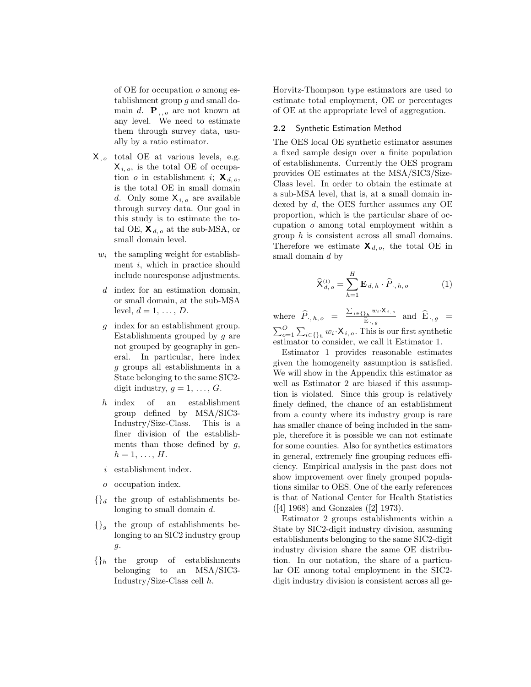of OE for occupation o among establishment group g and small domain d.  $P_{\ldots}$  are not known at any level. We need to estimate them through survey data, usually by a ratio estimator.

- $X_{,o}$  total OE at various levels, e.g.  $X_{i, o}$ , is the total OE of occupation *o* in establishment *i*;  $\mathbf{X}_{d.o.}$ is the total OE in small domain d. Only some  $X_{i,o}$  are available through survey data. Our goal in this study is to estimate the total OE,  $\mathbf{X}_{d,o}$  at the sub-MSA, or small domain level.
	- $w_i$  the sampling weight for establishment i, which in practice should include nonresponse adjustments.
	- d index for an estimation domain, or small domain, at the sub-MSA level,  $d = 1, \ldots, D$ .
	- g index for an establishment group. Establishments grouped by g are not grouped by geography in general. In particular, here index g groups all establishments in a State belonging to the same SIC2 digit industry,  $g = 1, \ldots, G$ .
	- h index of an establishment group defined by MSA/SIC3- Industry/Size-Class. This is a finer division of the establishments than those defined by  $q$ ,  $h=1,\ldots,H.$
	- i establishment index.
	- o occupation index.
- $\{\}_d$  the group of establishments belonging to small domain d.
- $\{\}g$  the group of establishments belonging to an SIC2 industry group  $\overline{g}$ .
- $\{\}_h$  the group of establishments belonging to an MSA/SIC3- Industry/Size-Class cell h.

Horvitz-Thompson type estimators are used to estimate total employment, OE or percentages of OE at the appropriate level of aggregation.

#### 2.2 Synthetic Estimation Method

The OES local OE synthetic estimator assumes a fixed sample design over a finite population of establishments. Currently the OES program provides OE estimates at the MSA/SIC3/Size-Class level. In order to obtain the estimate at a sub-MSA level, that is, at a small domain indexed by d, the OES further assumes any OE proportion, which is the particular share of occupation o among total employment within a group h is consistent across all small domains. Therefore we estimate  $\mathbf{X}_{d, o}$ , the total OE in small domain  $d$  by

$$
\widehat{X}_{d, o}^{(1)} = \sum_{h=1}^{H} \mathbf{E}_{d, h} \cdot \widehat{P}_{\cdot, h, o}
$$
 (1)

where  $\widehat{P}_{\cdot,h,o} = \frac{\sum_{i \in \{\}_{h}} w_i \cdot \mathsf{X}_{i,o}}{\widehat{\mathbb{E}}_{\cdot,g}}$  $E_{b} \stackrel{\omega_i \ldots \omega_i}{\widehat{E}_{b}}$  and  $E_{b} \ldots$  $\sum_{o=1}^O \sum_{i \in \{\}_h} w_i \cdot \mathsf{X}_{i,o}$ . This is our first synthetic estimator to consider, we call it Estimator 1.

Estimator 1 provides reasonable estimates given the homogeneity assumption is satisfied. We will show in the Appendix this estimator as well as Estimator 2 are biased if this assumption is violated. Since this group is relatively finely defined, the chance of an establishment from a county where its industry group is rare has smaller chance of being included in the sample, therefore it is possible we can not estimate for some counties. Also for synthetics estimators in general, extremely fine grouping reduces efficiency. Empirical analysis in the past does not show improvement over finely grouped populations similar to OES. One of the early references is that of National Center for Health Statistics ([4] 1968) and Gonzales ([2] 1973).

Estimator 2 groups establishments within a State by SIC2-digit industry division, assuming establishments belonging to the same SIC2-digit industry division share the same OE distribution. In our notation, the share of a particular OE among total employment in the SIC2 digit industry division is consistent across all ge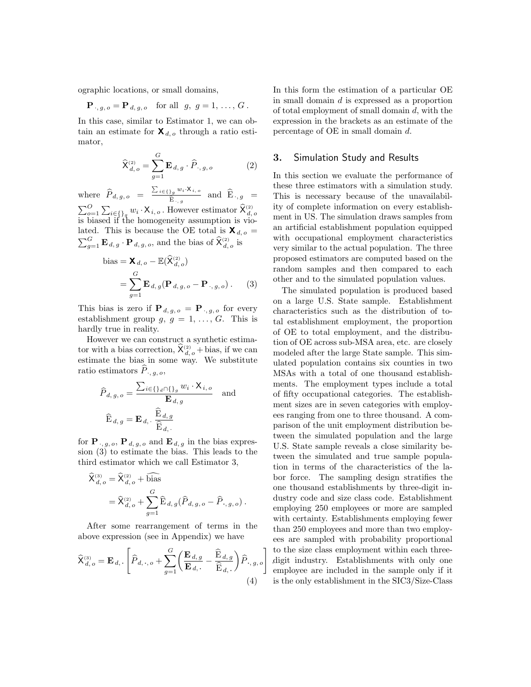ographic locations, or small domains,

$$
\mathbf{P}_{\cdot,g,o} = \mathbf{P}_{d,g,o} \text{ for all } g, g = 1, \ldots, G.
$$

In this case, similar to Estimator 1, we can obtain an estimate for  $\mathbf{X}_{d,o}$  through a ratio estimator,

$$
\widehat{\mathsf{X}}_{d,o}^{(2)} = \sum_{g=1}^{G} \mathbf{E}_{d,g} \cdot \widehat{P}_{\cdot,g,o} \tag{2}
$$

where  $\widehat{P}_{d, g, o} = \frac{\sum_{i \in \{\}} y w_i \cdot \mathsf{X}_{i, o}}{\widehat{\mathbf{E}}_{\cdot, g}}$  $\frac{\sum_{g} a_i \ldots a_j}{\widehat{E}_{\cdot, g}}$  and  $E_{\cdot, g}$  =  $\sum_{o=1}^{O} \sum_{i \in \{\}} w_i \cdot \mathsf{X}_{i,o}$ . However estimator  $\widehat{\mathsf{X}}_{d,o}^{(2)}$  is biased if the homogeneity assumption is violated. This is because the OE total is  $\mathbf{X}_{d,o} =$  $\sum_{g=1}^{G} \mathbf{E}_{d,g} \cdot \mathbf{P}_{d,g,o}$ , and the bias of  $\hat{\mathsf{X}}_{d,o}^{(2)}$  is

bias = 
$$
\mathbf{X}_{d,o} - \mathbb{E}(\widehat{\mathbf{X}}_{d,o}^{(2)})
$$
  
= 
$$
\sum_{g=1}^{G} \mathbf{E}_{d,g}(\mathbf{P}_{d,g,o} - \mathbf{P}_{\cdot,g,o}) .
$$
 (3)

This bias is zero if  ${\bf P}_{d, g, o} = {\bf P}_{\cdot, g, o}$  for every establishment group  $g, g = 1, \ldots, G$ . This is hardly true in reality.

However we can construct a synthetic estimator with a bias correction,  $X_{d, o}^{(2)}$  + bias, if we can estimate the bias in some way. We substitute ratio estimators  $P_{\cdot, q, o}$ ,

$$
\widehat{P}_{d, g, o} = \frac{\sum_{i \in \{\}_d \cap \{\}_g} w_i \cdot \mathsf{X}_{i, o}}{\mathbf{E}_{d, g}} \quad \text{and}
$$
\n
$$
\widehat{\mathbf{E}}_{d, g} = \mathbf{E}_{d, \cdot} \frac{\widehat{\mathbf{E}}_{d, g}}{\widehat{\mathbf{E}}_{d, \cdot}}
$$

for  $P_{\cdot, g, o}, P_{d, g, o}$  and  $E_{d, g}$  in the bias expression (3) to estimate the bias. This leads to the third estimator which we call Estimator 3,

$$
\widehat{\mathsf{X}}_{d, o}^{(3)} = \widehat{\mathsf{X}}_{d, o}^{(2)} + \widehat{\text{bias}}
$$
\n
$$
= \widehat{\mathsf{X}}_{d, o}^{(2)} + \sum_{g=1}^{G} \widehat{\mathsf{E}}_{d, g} (\widehat{P}_{d, g, o} - \widehat{P}_{\cdot, g, o}).
$$

After some rearrangement of terms in the above expression (see in Appendix) we have

$$
\widehat{\mathsf{X}}_{d,o}^{(3)} = \mathbf{E}_{d,\cdot} \left[ \widehat{P}_{d,\cdot,o} + \sum_{g=1}^{G} \left( \frac{\mathbf{E}_{d,g}}{\mathbf{E}_{d,\cdot}} - \frac{\widehat{\mathbf{E}}_{d,g}}{\widehat{\mathbf{E}}_{d,\cdot}} \right) \widehat{P}_{\cdot,g,o} \right]
$$
\n(4)

In this form the estimation of a particular OE in small domain d is expressed as a proportion of total employment of small domain  $d$ , with the expression in the brackets as an estimate of the percentage of OE in small domain d.

## 3. Simulation Study and Results

In this section we evaluate the performance of these three estimators with a simulation study. This is necessary because of the unavailability of complete information on every establishment in US. The simulation draws samples from an artificial establishment population equipped with occupational employment characteristics very similar to the actual population. The three proposed estimators are computed based on the random samples and then compared to each other and to the simulated population values.

. digit industry. Establishments with only one The simulated population is produced based on a large U.S. State sample. Establishment characteristics such as the distribution of total establishment employment, the proportion of OE to total employment, and the distribution of OE across sub-MSA area, etc. are closely modeled after the large State sample. This simulated population contains six counties in two MSAs with a total of one thousand establishments. The employment types include a total of fifty occupational categories. The establishment sizes are in seven categories with employees ranging from one to three thousand. A comparison of the unit employment distribution between the simulated population and the large U.S. State sample reveals a close similarity between the simulated and true sample population in terms of the characteristics of the labor force. The sampling design stratifies the one thousand establishments by three-digit industry code and size class code. Establishment employing 250 employees or more are sampled with certainty. Establishments employing fewer than 250 employees and more than two employees are sampled with probability proportional to the size class employment within each threeemployee are included in the sample only if it is the only establishment in the SIC3/Size-Class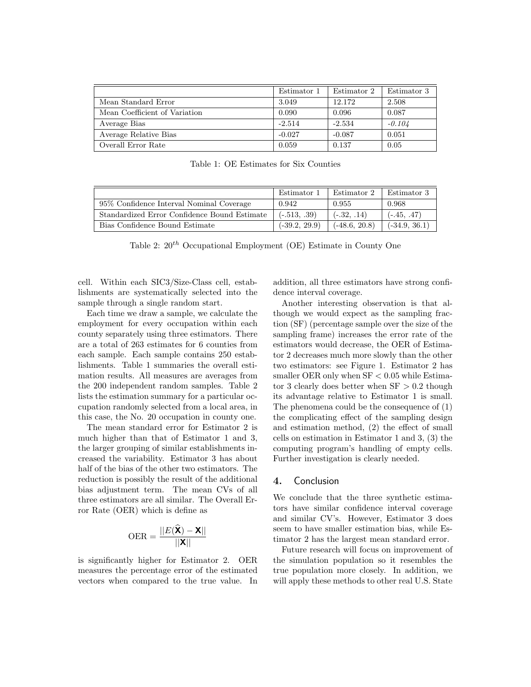|                               | Estimator 1 | Estimator 2 | Estimator 3 |
|-------------------------------|-------------|-------------|-------------|
| Mean Standard Error           | 3.049       | 12.172      | 2.508       |
| Mean Coefficient of Variation | 0.090       | 0.096       | 0.087       |
| Average Bias                  | $-2.514$    | $-2.534$    | $-0.104$    |
| Average Relative Bias         | $-0.027$    | $-0.087$    | 0.051       |
| Overall Error Rate            | 0.059       | 0.137       | 0.05        |

Table 1: OE Estimates for Six Counties

|                                              | Estimator 1     | Estimator 2     | Estimator 3     |
|----------------------------------------------|-----------------|-----------------|-----------------|
| 95% Confidence Interval Nominal Coverage     | 0.942           | 0.955           | 0.968           |
| Standardized Error Confidence Bound Estimate | $(-.513, .39)$  | $(-.32, .14)$   | $(-.45, .47)$   |
| Bias Confidence Bound Estimate               | $(-39.2, 29.9)$ | $(-48.6, 20.8)$ | $(-34.9, 36.1)$ |

Table 2:  $20^{th}$  Occupational Employment (OE) Estimate in County One

cell. Within each SIC3/Size-Class cell, establishments are systematically selected into the sample through a single random start.

Each time we draw a sample, we calculate the employment for every occupation within each county separately using three estimators. There are a total of 263 estimates for 6 counties from each sample. Each sample contains 250 establishments. Table 1 summaries the overall estimation results. All measures are averages from the 200 independent random samples. Table 2 lists the estimation summary for a particular occupation randomly selected from a local area, in this case, the No. 20 occupation in county one.

The mean standard error for Estimator 2 is much higher than that of Estimator 1 and 3, the larger grouping of similar establishments increased the variability. Estimator 3 has about half of the bias of the other two estimators. The reduction is possibly the result of the additional bias adjustment term. The mean CVs of all three estimators are all similar. The Overall Error Rate (OER) which is define as

$$
\text{OER} = \frac{||E(\hat{\mathbf{X}}) - \mathbf{X}||}{||\mathbf{X}||}
$$

is significantly higher for Estimator 2. OER measures the percentage error of the estimated vectors when compared to the true value. In addition, all three estimators have strong confidence interval coverage.

Another interesting observation is that although we would expect as the sampling fraction (SF) (percentage sample over the size of the sampling frame) increases the error rate of the estimators would decrease, the OER of Estimator 2 decreases much more slowly than the other two estimators: see Figure 1. Estimator 2 has smaller OER only when  $SF < 0.05$  while Estimator 3 clearly does better when  $SF > 0.2$  though its advantage relative to Estimator 1 is small. The phenomena could be the consequence of (1) the complicating effect of the sampling design and estimation method, (2) the effect of small cells on estimation in Estimator 1 and 3, (3) the computing program's handling of empty cells. Further investigation is clearly needed.

# 4. Conclusion

We conclude that the three synthetic estimators have similar confidence interval coverage and similar CV's. However, Estimator 3 does seem to have smaller estimation bias, while Estimator 2 has the largest mean standard error.

Future research will focus on improvement of the simulation population so it resembles the true population more closely. In addition, we will apply these methods to other real U.S. State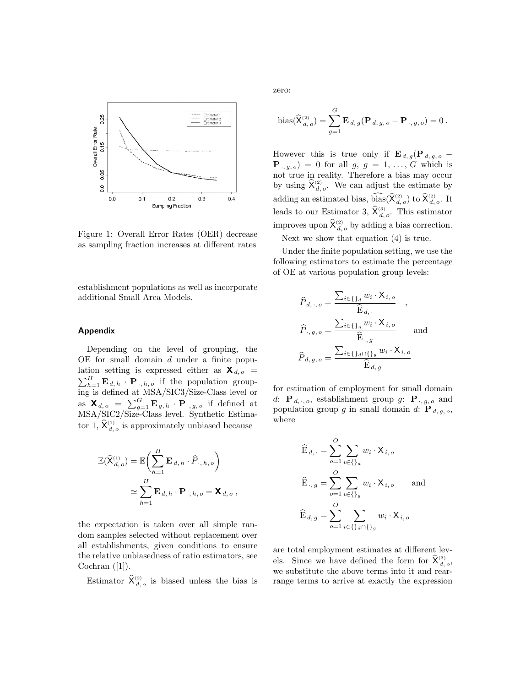

Figure 1: Overall Error Rates (OER) decrease as sampling fraction increases at different rates

establishment populations as well as incorporate additional Small Area Models.

#### Appendix

Depending on the level of grouping, the OE for small domain d under a finite population setting is expressed either as  $\mathbf{X}_{d,o}$  =  $\sum_{h=1}^{H} \mathbf{E}_{d,h} \cdot \mathbf{P}_{\cdot,h,o}$  if the population grouping is defined at MSA/SIC3/Size-Class level or as  $\mathbf{X}_{d,o} = \sum_{g=1}^{G} \mathbf{E}_{g,h} \cdot \mathbf{P}_{\cdot, g,o}$  if defined at MSA/SIC2/Size-Class level. Synthetic Estimator 1,  $\mathsf{X}_{d,o}^{(1)}$  is approximately unbiased because

$$
\mathbb{E}(\widehat{\mathsf{X}}_{d, o}^{(1)}) = \mathbb{E}\bigg(\sum_{h=1}^{H} \mathbf{E}_{d, h} \cdot \widehat{P}_{\cdot, h, o}\bigg)
$$
  

$$
\simeq \sum_{h=1}^{H} \mathbf{E}_{d, h} \cdot \mathbf{P}_{\cdot, h, o} = \mathbf{X}_{d, o},
$$

the expectation is taken over all simple random samples selected without replacement over all establishments, given conditions to ensure the relative unbiasedness of ratio estimators, see Cochran  $([1])$ .

Estimator  $X_{d,o}^{(2)}$  is biased unless the bias is

zero:

bias
$$
(\hat{\mathbf{X}}_{d,o}^{(2)}) = \sum_{g=1}^{G} \mathbf{E}_{d,g}(\mathbf{P}_{d,g,o} - \mathbf{P}_{\cdot,g,o}) = 0
$$
.

However this is true only if  $\mathbf{E}_{d, g}(\mathbf{P}_{d, g, o}$  –  $\mathbf{P}_{\cdot,\,q,\,o}$  = 0 for all  $q,\,g=1,\,\ldots,\,G$  which is not true in reality. Therefore a bias may occur by using  $X_{d,o}^{(2)}$ . We can adjust the estimate by adding an estimated bias,  $\widehat{\text{bias}}(\widehat{\mathsf{X}}_{d,o}^{(2)})$  to  $\widehat{\mathsf{X}}_{d,o}^{(2)}$ . It leads to our Estimator 3,  $\mathsf{X}_{d,o}^{(3)}$ . This estimator improves upon  $\hat{\mathsf{X}}_{d, o}^{(2)}$  by adding a bias correction.

Next we show that equation (4) is true.

Under the finite population setting, we use the following estimators to estimate the percentage of OE at various population group levels:

$$
\hat{P}_{d,\cdot,o} = \frac{\sum_{i \in \{\}_d} w_i \cdot \mathbf{X}_{i,o}}{\hat{\mathbf{E}}_{d,\cdot}} ,
$$
\n
$$
\hat{P}_{\cdot,g,o} = \frac{\sum_{i \in \{\}_g} w_i \cdot \mathbf{X}_{i,o}}{\hat{\mathbf{E}}_{\cdot,g}} \quad \text{and}
$$
\n
$$
\hat{P}_{d,g,o} = \frac{\sum_{i \in \{\}_d \cap \{\}_g} w_i \cdot \mathbf{X}_{i,o}}{\hat{\mathbf{E}}_{d,g}}
$$

for estimation of employment for small domain d:  ${\bf P}_{d,\cdot,0}$ , establishment group g:  ${\bf P}_{\cdot,g,o}$  and population group g in small domain d:  $\mathbf{P}_{d, g, o}$ , where

$$
\widehat{\mathbf{E}}_{d,\cdot} = \sum_{o=1}^{O} \sum_{i \in \{\}_d} w_i \cdot \mathbf{X}_{i,\,o}
$$
\n
$$
\widehat{\mathbf{E}}_{\cdot,\,g} = \sum_{o=1}^{O} \sum_{i \in \{\}_g} w_i \cdot \mathbf{X}_{i,\,o} \qquad \text{and}
$$
\n
$$
\widehat{\mathbf{E}}_{d,\,g} = \sum_{o=1}^{O} \sum_{i \in \{\}_d \cap \{\}_g} w_i \cdot \mathbf{X}_{i,\,o}
$$

are total employment estimates at different levels. Since we have defined the form for  $X_{d,o}^{(3)}$ , we substitute the above terms into it and rearrange terms to arrive at exactly the expression